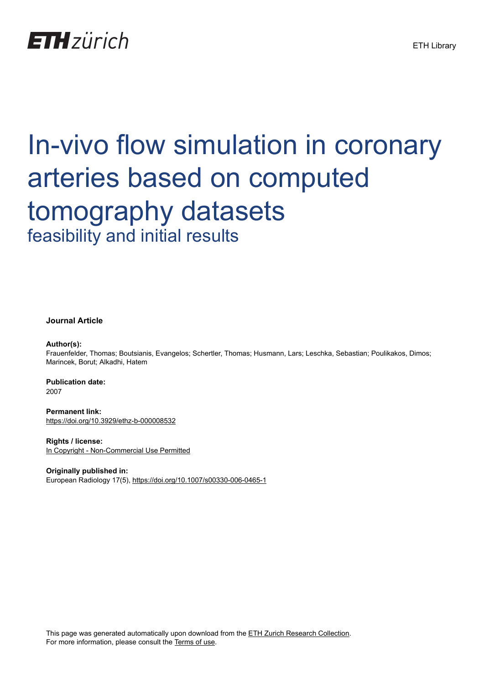# **ETH**zürich

# In-vivo flow simulation in coronary arteries based on computed tomography datasets feasibility and initial results

## **Journal Article**

### **Author(s):**

Frauenfelder, Thomas; Boutsianis, Evangelos; Schertler, Thomas; Husmann, Lars; Leschka, Sebastian; Poulikakos, Dimos; Marincek, Borut; Alkadhi, Hatem

**Publication date:** 2007

**Permanent link:** <https://doi.org/10.3929/ethz-b-000008532>

**Rights / license:** [In Copyright - Non-Commercial Use Permitted](http://rightsstatements.org/page/InC-NC/1.0/)

**Originally published in:** European Radiology 17(5),<https://doi.org/10.1007/s00330-006-0465-1>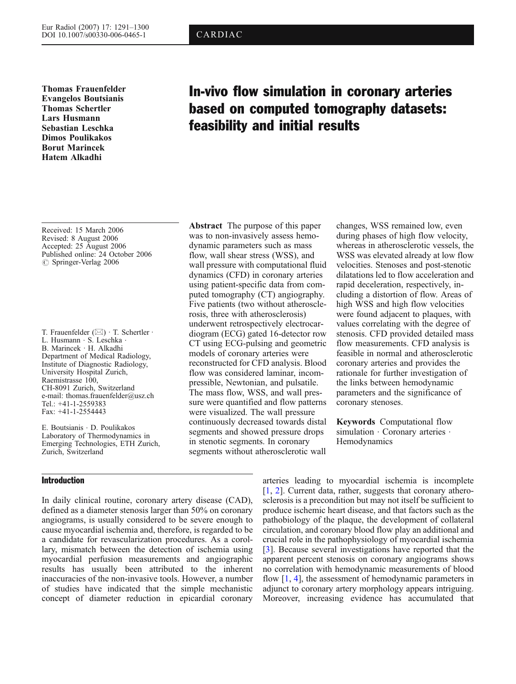Thomas Frauenfelder Evangelos Boutsianis Thomas Schertler Lars Husmann Sebastian Leschka Dimos Poulikakos Borut Marincek Hatem Alkadhi

Received: 15 March 2006 Revised: 8 August 2006 Accepted: 25 August 2006 Published online: 24 October 2006  $\oslash$  Springer-Verlag 2006

T. Frauenfelder  $(\boxtimes)$   $\cdot$  T. Schertler  $\cdot$ L. Husmann · S. Leschka · B. Marincek . H. Alkadhi Department of Medical Radiology, Institute of Diagnostic Radiology, University Hospital Zurich, Raemistrasse 100, CH-8091 Zurich, Switzerland e-mail: thomas.frauenfelder@usz.ch Tel.: +41-1-2559383 Fax: +41-1-2554443

E. Boutsianis . D. Poulikakos Laboratory of Thermodynamics in Emerging Technologies, ETH Zurich, Zurich, Switzerland

#### Introduction

In daily clinical routine, coronary artery disease (CAD), defined as a diameter stenosis larger than 50% on coronary angiograms, is usually considered to be severe enough to cause myocardial ischemia and, therefore, is regarded to be a candidate for revascularization procedures. As a corollary, mismatch between the detection of ischemia using myocardial perfusion measurements and angiographic results has usually been attributed to the inherent inaccuracies of the non-invasive tools. However, a number of studies have indicated that the simple mechanistic concept of diameter reduction in epicardial coronary

Abstract The purpose of this paper was to non-invasively assess hemodynamic parameters such as mass flow, wall shear stress (WSS), and wall pressure with computational fluid dynamics (CFD) in coronary arteries using patient-specific data from computed tomography (CT) angiography. Five patients (two without atherosclerosis, three with atherosclerosis) underwent retrospectively electrocardiogram (ECG) gated 16-detector row CT using ECG-pulsing and geometric models of coronary arteries were reconstructed for CFD analysis. Blood flow was considered laminar, incompressible, Newtonian, and pulsatile. The mass flow, WSS, and wall pressure were quantified and flow patterns were visualized. The wall pressure continuously decreased towards distal segments and showed pressure drops in stenotic segments. In coronary segments without atherosclerotic wall

changes, WSS remained low, even during phases of high flow velocity, whereas in atherosclerotic vessels, the WSS was elevated already at low flow velocities. Stenoses and post-stenotic dilatations led to flow acceleration and rapid deceleration, respectively, including a distortion of flow. Areas of high WSS and high flow velocities were found adjacent to plaques, with values correlating with the degree of stenosis. CFD provided detailed mass flow measurements. CFD analysis is feasible in normal and atherosclerotic coronary arteries and provides the rationale for further investigation of the links between hemodynamic parameters and the significance of coronary stenoses.

Keywords Computational flow simulation · Coronary arteries · Hemodynamics

In-vivo flow simulation in coronary arteries based on computed tomography datasets: feasibility and initial results

> arteries leading to myocardial ischemia is incomplete [[1,](#page-9-0) [2](#page-9-0)]. Current data, rather, suggests that coronary atherosclerosis is a precondition but may not itself be sufficient to produce ischemic heart disease, and that factors such as the pathobiology of the plaque, the development of collateral circulation, and coronary blood flow play an additional and crucial role in the pathophysiology of myocardial ischemia [[3\]](#page-9-0). Because several investigations have reported that the apparent percent stenosis on coronary angiograms shows no correlation with hemodynamic measurements of blood flow [[1,](#page-9-0) [4](#page-9-0)], the assessment of hemodynamic parameters in adjunct to coronary artery morphology appears intriguing. Moreover, increasing evidence has accumulated that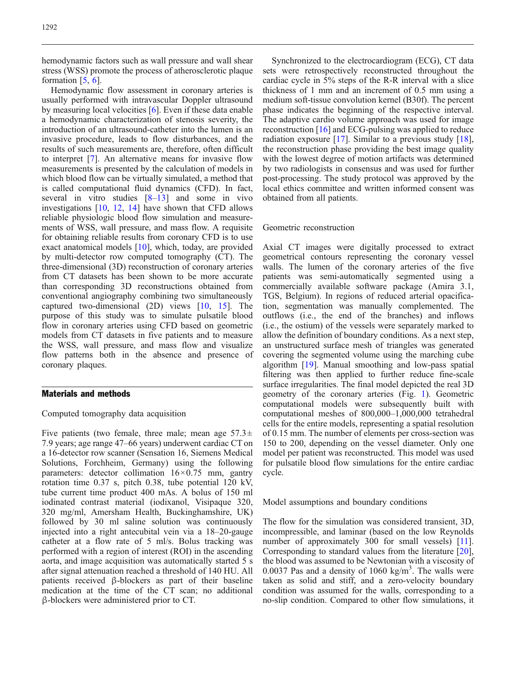hemodynamic factors such as wall pressure and wall shear stress (WSS) promote the process of atherosclerotic plaque formation  $[5, 6]$  $[5, 6]$  $[5, 6]$ .

Hemodynamic flow assessment in coronary arteries is usually performed with intravascular Doppler ultrasound by measuring local velocities [[6](#page-9-0)]. Even if these data enable a hemodynamic characterization of stenosis severity, the introduction of an ultrasound-catheter into the lumen is an invasive procedure, leads to flow disturbances, and the results of such measurements are, therefore, often difficult to interpret [[7](#page-9-0)]. An alternative means for invasive flow measurements is presented by the calculation of models in which blood flow can be virtually simulated, a method that is called computational fluid dynamics (CFD). In fact, several in vitro studies [[8](#page-9-0)–[13\]](#page-9-0) and some in vivo investigations [\[10,](#page-9-0) [12,](#page-9-0) [14](#page-9-0)] have shown that CFD allows reliable physiologic blood flow simulation and measurements of WSS, wall pressure, and mass flow. A requisite for obtaining reliable results from coronary CFD is to use exact anatomical models [\[10\]](#page-9-0), which, today, are provided by multi-detector row computed tomography (CT). The three-dimensional (3D) reconstruction of coronary arteries from CT datasets has been shown to be more accurate than corresponding 3D reconstructions obtained from conventional angiography combining two simultaneously captured two-dimensional (2D) views [\[10,](#page-9-0) [15](#page-9-0)]. The purpose of this study was to simulate pulsatile blood flow in coronary arteries using CFD based on geometric models from CT datasets in five patients and to measure the WSS, wall pressure, and mass flow and visualize flow patterns both in the absence and presence of coronary plaques.

#### Materials and methods

Computed tomography data acquisition

Five patients (two female, three male; mean age  $57.3\pm$ 7.9 years; age range 47–66 years) underwent cardiac CT on a 16-detector row scanner (Sensation 16, Siemens Medical Solutions, Forchheim, Germany) using the following parameters: detector collimation  $16 \times 0.75$  mm, gantry rotation time 0.37 s, pitch 0.38, tube potential 120 kV, tube current time product 400 mAs. A bolus of 150 ml iodinated contrast material (iodixanol, Visipaque 320, 320 mg/ml, Amersham Health, Buckinghamshire, UK) followed by 30 ml saline solution was continuously injected into a right antecubital vein via a 18–20-gauge catheter at a flow rate of 5 ml/s. Bolus tracking was performed with a region of interest (ROI) in the ascending aorta, and image acquisition was automatically started 5 s after signal attenuation reached a threshold of 140 HU. All patients received β-blockers as part of their baseline medication at the time of the CT scan; no additional β-blockers were administered prior to CT.

Synchronized to the electrocardiogram (ECG), CT data sets were retrospectively reconstructed throughout the cardiac cycle in 5% steps of the R-R interval with a slice thickness of 1 mm and an increment of 0.5 mm using a medium soft-tissue convolution kernel (B30f). The percent phase indicates the beginning of the respective interval. The adaptive cardio volume approach was used for image reconstruction [\[16](#page-9-0)] and ECG-pulsing was applied to reduce radiation exposure [\[17](#page-9-0)]. Similar to a previous study [[18](#page-9-0)], the reconstruction phase providing the best image quality with the lowest degree of motion artifacts was determined by two radiologists in consensus and was used for further post-processing. The study protocol was approved by the local ethics committee and written informed consent was obtained from all patients.

#### Geometric reconstruction

Axial CT images were digitally processed to extract geometrical contours representing the coronary vessel walls. The lumen of the coronary arteries of the five patients was semi-automatically segmented using a commercially available software package (Amira 3.1, TGS, Belgium). In regions of reduced arterial opacification, segmentation was manually complemented. The outflows (i.e., the end of the branches) and inflows (i.e., the ostium) of the vessels were separately marked to allow the definition of boundary conditions. As a next step, an unstructured surface mesh of triangles was generated covering the segmented volume using the marching cube algorithm [[19](#page-9-0)]. Manual smoothing and low-pass spatial filtering was then applied to further reduce fine-scale surface irregularities. The final model depicted the real 3D geometry of the coronary arteries (Fig. [1\)](#page-3-0). Geometric computational models were subsequently built with computational meshes of 800,000–1,000,000 tetrahedral cells for the entire models, representing a spatial resolution of 0.15 mm. The number of elements per cross-section was 150 to 200, depending on the vessel diameter. Only one model per patient was reconstructed. This model was used for pulsatile blood flow simulations for the entire cardiac cycle.

Model assumptions and boundary conditions

The flow for the simulation was considered transient, 3D, incompressible, and laminar (based on the low Reynolds number of approximately 300 for small vessels) [[11](#page-9-0)]. Corresponding to standard values from the literature [[20](#page-9-0)], the blood was assumed to be Newtonian with a viscosity of 0.0037 Pas and a density of  $1060 \text{ kg/m}^3$ . The walls were taken as solid and stiff, and a zero-velocity boundary condition was assumed for the walls, corresponding to a no-slip condition. Compared to other flow simulations, it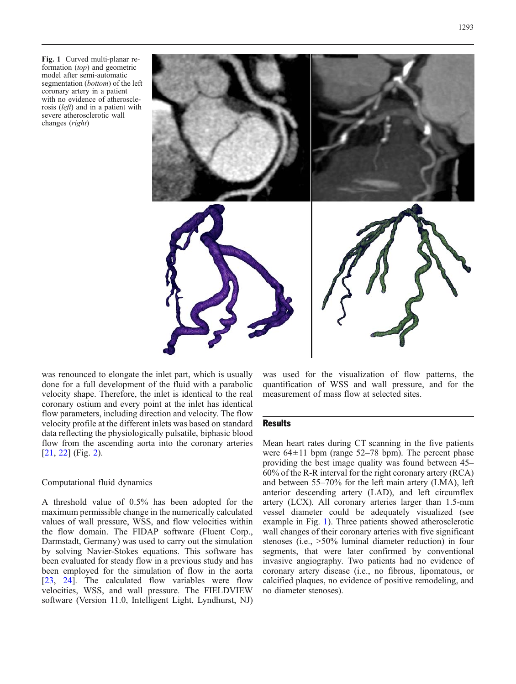<span id="page-3-0"></span>

was renounced to elongate the inlet part, which is usually done for a full development of the fluid with a parabolic velocity shape. Therefore, the inlet is identical to the real coronary ostium and every point at the inlet has identical flow parameters, including direction and velocity. The flow velocity profile at the different inlets was based on standard data reflecting the physiologically pulsatile, biphasic blood flow from the ascending aorta into the coronary arteries [[21](#page-9-0), [22](#page-9-0)] (Fig. [2\)](#page-4-0).

#### Computational fluid dynamics

A threshold value of 0.5% has been adopted for the maximum permissible change in the numerically calculated values of wall pressure, WSS, and flow velocities within the flow domain. The FIDAP software (Fluent Corp., Darmstadt, Germany) was used to carry out the simulation by solving Navier-Stokes equations. This software has been evaluated for steady flow in a previous study and has been employed for the simulation of flow in the aorta [[23](#page-9-0), [24](#page-9-0)]. The calculated flow variables were flow velocities, WSS, and wall pressure. The FIELDVIEW software (Version 11.0, Intelligent Light, Lyndhurst, NJ) was used for the visualization of flow patterns, the quantification of WSS and wall pressure, and for the measurement of mass flow at selected sites.

#### **Results**

Mean heart rates during CT scanning in the five patients were  $64\pm11$  bpm (range 52–78 bpm). The percent phase providing the best image quality was found between 45– 60% of the R-R interval for the right coronary artery (RCA) and between 55–70% for the left main artery (LMA), left anterior descending artery (LAD), and left circumflex artery (LCX). All coronary arteries larger than 1.5-mm vessel diameter could be adequately visualized (see example in Fig. 1). Three patients showed atherosclerotic wall changes of their coronary arteries with five significant stenoses (i.e., >50% luminal diameter reduction) in four segments, that were later confirmed by conventional invasive angiography. Two patients had no evidence of coronary artery disease (i.e., no fibrous, lipomatous, or calcified plaques, no evidence of positive remodeling, and no diameter stenoses).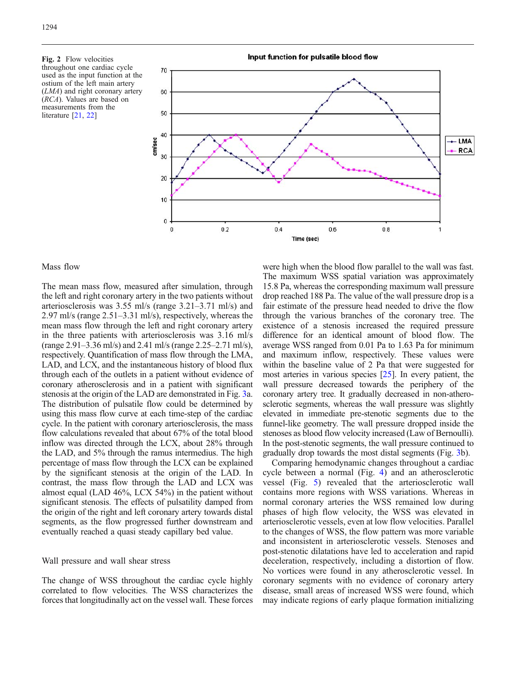<span id="page-4-0"></span>Fig. 2 Flow velocities throughout one cardiac cycle used as the input function at the ostium of the left main artery (LMA) and right coronary artery (RCA). Values are based on measurements from the literature [[21,](#page-9-0) [22\]](#page-9-0)



Input function for pulsatile blood flow

#### Mass flow

The mean mass flow, measured after simulation, through the left and right coronary artery in the two patients without arteriosclerosis was 3.55 ml/s (range 3.21–3.71 ml/s) and 2.97 ml/s (range 2.51–3.31 ml/s), respectively, whereas the mean mass flow through the left and right coronary artery in the three patients with arteriosclerosis was 3.16 ml/s (range 2.91–3.36 ml/s) and 2.41 ml/s (range 2.25–2.71 ml/s), respectively. Quantification of mass flow through the LMA, LAD, and LCX, and the instantaneous history of blood flux through each of the outlets in a patient without evidence of coronary atherosclerosis and in a patient with significant stenosis at the origin of the LAD are demonstrated in Fig. [3a](#page-5-0). The distribution of pulsatile flow could be determined by using this mass flow curve at each time-step of the cardiac cycle. In the patient with coronary arteriosclerosis, the mass flow calculations revealed that about 67% of the total blood inflow was directed through the LCX, about 28% through the LAD, and 5% through the ramus intermedius. The high percentage of mass flow through the LCX can be explained by the significant stenosis at the origin of the LAD. In contrast, the mass flow through the LAD and LCX was almost equal (LAD 46%, LCX 54%) in the patient without significant stenosis. The effects of pulsatility damped from the origin of the right and left coronary artery towards distal segments, as the flow progressed further downstream and eventually reached a quasi steady capillary bed value.

#### Wall pressure and wall shear stress

The change of WSS throughout the cardiac cycle highly correlated to flow velocities. The WSS characterizes the forces that longitudinally act on the vessel wall. These forces were high when the blood flow parallel to the wall was fast. The maximum WSS spatial variation was approximately 15.8 Pa, whereas the corresponding maximum wall pressure drop reached 188 Pa. The value of the wall pressure drop is a fair estimate of the pressure head needed to drive the flow through the various branches of the coronary tree. The existence of a stenosis increased the required pressure difference for an identical amount of blood flow. The average WSS ranged from 0.01 Pa to 1.63 Pa for minimum and maximum inflow, respectively. These values were within the baseline value of 2 Pa that were suggested for most arteries in various species [\[25](#page-9-0)]. In every patient, the wall pressure decreased towards the periphery of the coronary artery tree. It gradually decreased in non-atherosclerotic segments, whereas the wall pressure was slightly elevated in immediate pre-stenotic segments due to the funnel-like geometry. The wall pressure dropped inside the stenoses as blood flow velocity increased (Law of Bernoulli). In the post-stenotic segments, the wall pressure continued to gradually drop towards the most distal segments (Fig. [3](#page-5-0)b).

Comparing hemodynamic changes throughout a cardiac cycle between a normal (Fig. [4](#page-6-0)) and an atherosclerotic vessel (Fig. [5](#page-7-0)) revealed that the arteriosclerotic wall contains more regions with WSS variations. Whereas in normal coronary arteries the WSS remained low during phases of high flow velocity, the WSS was elevated in arteriosclerotic vessels, even at low flow velocities. Parallel to the changes of WSS, the flow pattern was more variable and inconsistent in arteriosclerotic vessels. Stenoses and post-stenotic dilatations have led to acceleration and rapid deceleration, respectively, including a distortion of flow. No vortices were found in any atherosclerotic vessel. In coronary segments with no evidence of coronary artery disease, small areas of increased WSS were found, which may indicate regions of early plaque formation initializing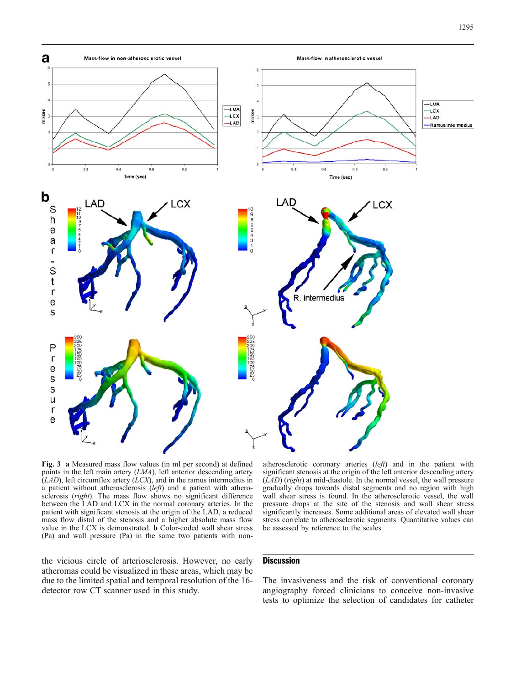<span id="page-5-0"></span>

Fig. 3 a Measured mass flow values (in ml per second) at defined points in the left main artery (LMA), left anterior descending artery  $(LAD)$ , left circumflex artery  $(LCX)$ , and in the ramus intermedius in a patient without atherosclerosis (left) and a patient with atherosclerosis (right). The mass flow shows no significant difference between the LAD and LCX in the normal coronary arteries. In the patient with significant stenosis at the origin of the LAD, a reduced mass flow distal of the stenosis and a higher absolute mass flow value in the LCX is demonstrated. b Color-coded wall shear stress (Pa) and wall pressure (Pa) in the same two patients with non-

atherosclerotic coronary arteries  $(left)$  and in the patient with significant stenosis at the origin of the left anterior descending artery (LAD) (right) at mid-diastole. In the normal vessel, the wall pressure gradually drops towards distal segments and no region with high wall shear stress is found. In the atherosclerotic vessel, the wall pressure drops at the site of the stenosis and wall shear stress significantly increases. Some additional areas of elevated wall shear stress correlate to atherosclerotic segments. Quantitative values can be assessed by reference to the scales

the vicious circle of arteriosclerosis. However, no early atheromas could be visualized in these areas, which may be due to the limited spatial and temporal resolution of the 16 detector row CT scanner used in this study.

#### **Discussion**

The invasiveness and the risk of conventional coronary angiography forced clinicians to conceive non-invasive tests to optimize the selection of candidates for catheter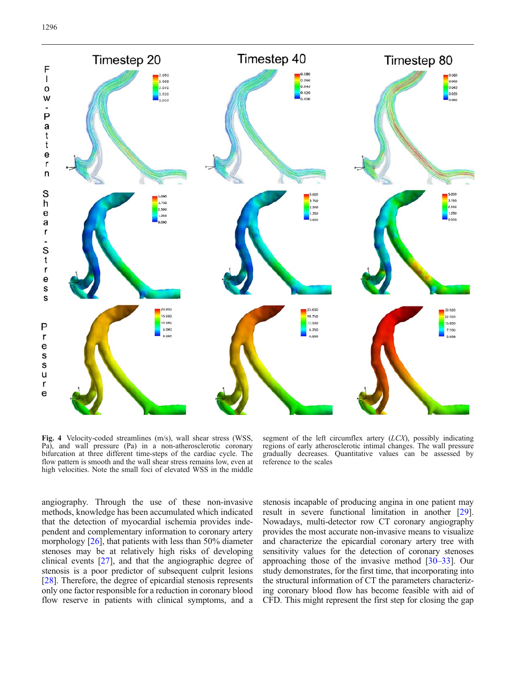<span id="page-6-0"></span>

Fig. 4 Velocity-coded streamlines (m/s), wall shear stress (WSS, Pa), and wall pressure (Pa) in a non-atherosclerotic coronary bifurcation at three different time-steps of the cardiac cycle. The flow pattern is smooth and the wall shear stress remains low, even at high velocities. Note the small foci of elevated WSS in the middle

segment of the left circumflex artery  $(LCX)$ , possibly indicating regions of early atherosclerotic intimal changes. The wall pressure gradually decreases. Quantitative values can be assessed by reference to the scales

angiography. Through the use of these non-invasive methods, knowledge has been accumulated which indicated that the detection of myocardial ischemia provides independent and complementary information to coronary artery morphology [\[26\]](#page-9-0), that patients with less than 50% diameter stenoses may be at relatively high risks of developing clinical events [[27\]](#page-9-0), and that the angiographic degree of stenosis is a poor predictor of subsequent culprit lesions [\[28\]](#page-9-0). Therefore, the degree of epicardial stenosis represents only one factor responsible for a reduction in coronary blood flow reserve in patients with clinical symptoms, and a

stenosis incapable of producing angina in one patient may result in severe functional limitation in another [[29](#page-9-0)]. Nowadays, multi-detector row CT coronary angiography provides the most accurate non-invasive means to visualize and characterize the epicardial coronary artery tree with sensitivity values for the detection of coronary stenoses approaching those of the invasive method [\[30](#page-9-0)–[33](#page-10-0)]. Our study demonstrates, for the first time, that incorporating into the structural information of CT the parameters characterizing coronary blood flow has become feasible with aid of CFD. This might represent the first step for closing the gap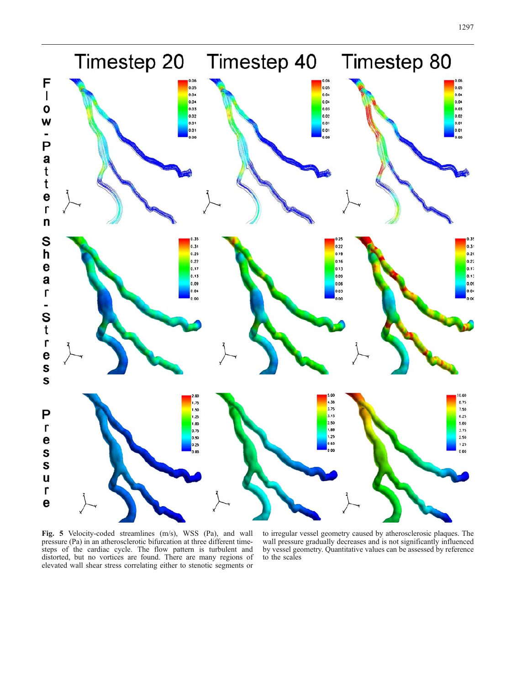<span id="page-7-0"></span>

Fig. 5 Velocity-coded streamlines (m/s), WSS (Pa), and wall pressure (Pa) in an atherosclerotic bifurcation at three different timesteps of the cardiac cycle. The flow pattern is turbulent and distorted, but no vortices are found. There are many regions of elevated wall shear stress correlating either to stenotic segments or

to irregular vessel geometry caused by atherosclerosic plaques. The wall pressure gradually decreases and is not significantly influenced by vessel geometry. Quantitative values can be assessed by reference to the scales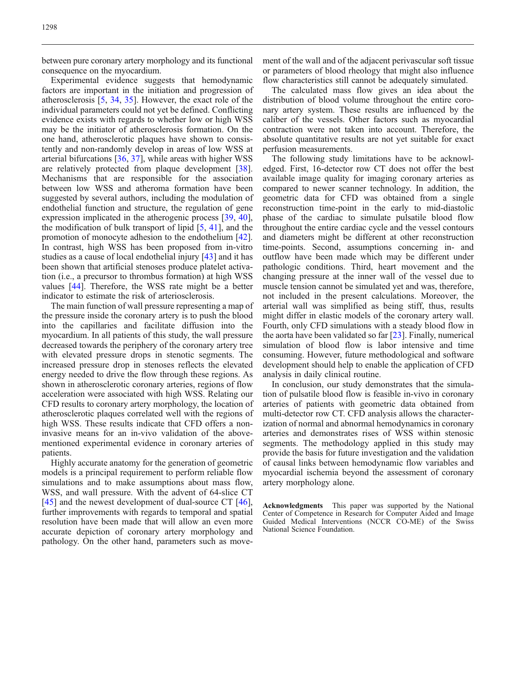between pure coronary artery morphology and its functional consequence on the myocardium.

Experimental evidence suggests that hemodynamic factors are important in the initiation and progression of atherosclerosis [\[5](#page-9-0), [34,](#page-10-0) [35](#page-10-0)]. However, the exact role of the individual parameters could not yet be defined. Conflicting evidence exists with regards to whether low or high WSS may be the initiator of atherosclerosis formation. On the one hand, atherosclerotic plaques have shown to consistently and non-randomly develop in areas of low WSS at arterial bifurcations [\[36,](#page-10-0) [37\]](#page-10-0), while areas with higher WSS are relatively protected from plaque development [[38\]](#page-10-0). Mechanisms that are responsible for the association between low WSS and atheroma formation have been suggested by several authors, including the modulation of endothelial function and structure, the regulation of gene expression implicated in the atherogenic process [\[39,](#page-10-0) [40\]](#page-10-0), the modification of bulk transport of lipid [[5,](#page-9-0) [41\]](#page-10-0), and the promotion of monocyte adhesion to the endothelium [[42\]](#page-10-0). In contrast, high WSS has been proposed from in-vitro studies as a cause of local endothelial injury [\[43\]](#page-10-0) and it has been shown that artificial stenoses produce platelet activation (i.e., a precursor to thrombus formation) at high WSS values [[44](#page-10-0)]. Therefore, the WSS rate might be a better indicator to estimate the risk of arteriosclerosis.

The main function of wall pressure representing a map of the pressure inside the coronary artery is to push the blood into the capillaries and facilitate diffusion into the myocardium. In all patients of this study, the wall pressure decreased towards the periphery of the coronary artery tree with elevated pressure drops in stenotic segments. The increased pressure drop in stenoses reflects the elevated energy needed to drive the flow through these regions. As shown in atherosclerotic coronary arteries, regions of flow acceleration were associated with high WSS. Relating our CFD results to coronary artery morphology, the location of atherosclerotic plaques correlated well with the regions of high WSS. These results indicate that CFD offers a noninvasive means for an in-vivo validation of the abovementioned experimental evidence in coronary arteries of patients.

Highly accurate anatomy for the generation of geometric models is a principal requirement to perform reliable flow simulations and to make assumptions about mass flow, WSS, and wall pressure. With the advent of 64-slice CT [[45](#page-10-0)] and the newest development of dual-source CT [[46\]](#page-10-0), further improvements with regards to temporal and spatial resolution have been made that will allow an even more accurate depiction of coronary artery morphology and pathology. On the other hand, parameters such as movement of the wall and of the adjacent perivascular soft tissue or parameters of blood rheology that might also influence flow characteristics still cannot be adequately simulated.

The calculated mass flow gives an idea about the distribution of blood volume throughout the entire coronary artery system. These results are influenced by the caliber of the vessels. Other factors such as myocardial contraction were not taken into account. Therefore, the absolute quantitative results are not yet suitable for exact perfusion measurements.

The following study limitations have to be acknowledged. First, 16-detector row CT does not offer the best available image quality for imaging coronary arteries as compared to newer scanner technology. In addition, the geometric data for CFD was obtained from a single reconstruction time-point in the early to mid-diastolic phase of the cardiac to simulate pulsatile blood flow throughout the entire cardiac cycle and the vessel contours and diameters might be different at other reconstruction time-points. Second, assumptions concerning in- and outflow have been made which may be different under pathologic conditions. Third, heart movement and the changing pressure at the inner wall of the vessel due to muscle tension cannot be simulated yet and was, therefore, not included in the present calculations. Moreover, the arterial wall was simplified as being stiff, thus, results might differ in elastic models of the coronary artery wall. Fourth, only CFD simulations with a steady blood flow in the aorta have been validated so far [[23\]](#page-9-0). Finally, numerical simulation of blood flow is labor intensive and time consuming. However, future methodological and software development should help to enable the application of CFD analysis in daily clinical routine.

In conclusion, our study demonstrates that the simulation of pulsatile blood flow is feasible in-vivo in coronary arteries of patients with geometric data obtained from multi-detector row CT. CFD analysis allows the characterization of normal and abnormal hemodynamics in coronary arteries and demonstrates rises of WSS within stenosic segments. The methodology applied in this study may provide the basis for future investigation and the validation of causal links between hemodynamic flow variables and myocardial ischemia beyond the assessment of coronary artery morphology alone.

Acknowledgments This paper was supported by the National Center of Competence in Research for Computer Aided and Image Guided Medical Interventions (NCCR CO-ME) of the Swiss National Science Foundation.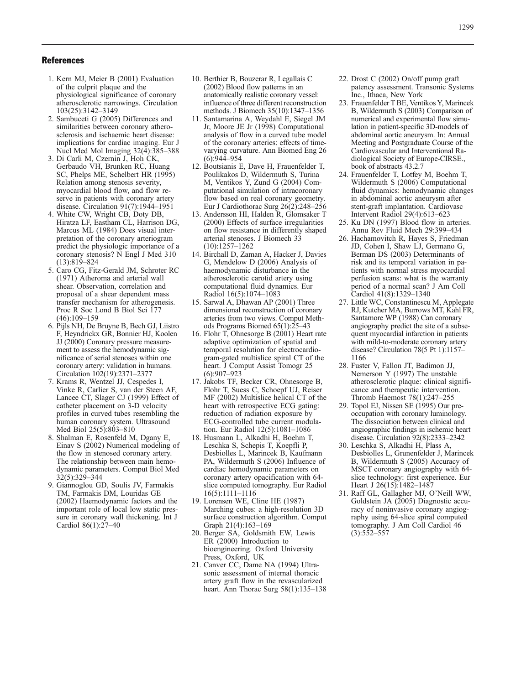#### <span id="page-9-0"></span>References

- 1. Kern MJ, Meier B (2001) Evaluation of the culprit plaque and the physiological significance of coronary atherosclerotic narrowings. Circulation 103(25):3142–3149
- 2. Sambuceti G (2005) Differences and similarities between coronary atherosclerosis and ischaemic heart disease: implications for cardiac imaging. Eur J Nucl Med Mol Imaging  $32(\overline{4})$ :  $385-388$
- 3. Di Carli M, Czernin J, Hoh CK, Gerbaudo VH, Brunken RC, Huang SC, Phelps ME, Schelbert HR (1995) Relation among stenosis severity, myocardial blood flow, and flow reserve in patients with coronary artery disease. Circulation 91(7):1944–1951
- 4. White CW, Wright CB, Doty DB, Hiratza LF, Eastham CL, Harrison DG, Marcus ML (1984) Does visual interpretation of the coronary arteriogram predict the physiologic importance of a coronary stenosis? N Engl J Med 310  $(13):819-824$
- 5. Caro CG, Fitz-Gerald JM, Schroter RC (1971) Atheroma and arterial wall shear. Observation, correlation and proposal of a shear dependent mass transfer mechanism for atherogenesis. Proc R Soc Lond B Biol Sci 177 (46):109–159
- 6. Pijls NH, De Bruyne B, Bech GJ, Liistro F, Heyndrickx GR, Bonnier HJ, Koolen JJ (2000) Coronary pressure measurement to assess the hemodynamic significance of serial stenoses within one coronary artery: validation in humans. Circulation 102(19):2371–2377
- 7. Krams R, Wentzel JJ, Cespedes I, Vinke R, Carlier S, van der Steen AF, Lancee CT, Slager CJ (1999) Effect of catheter placement on 3-D velocity profiles in curved tubes resembling the human coronary system. Ultrasound Med Biol 25(5):803–810
- 8. Shalman E, Rosenfeld M, Dgany E, Einav S (2002) Numerical modeling of the flow in stenosed coronary artery. The relationship between main hemodynamic parameters. Comput Biol Med 32(5):329–344
- 9. Giannoglou GD, Soulis JV, Farmakis TM, Farmakis DM, Louridas GE (2002) Haemodynamic factors and the important role of local low static pressure in coronary wall thickening. Int J Cardiol 86(1):27–40
- 10. Berthier B, Bouzerar R, Legallais C (2002) Blood flow patterns in an anatomically realistic coronary vessel: influence of three different reconstruction methods. J Biomech 35(10):1347–1356
- 11. Santamarina A, Weydahl E, Siegel JM Jr, Moore JE Jr (1998) Computational analysis of flow in a curved tube model of the coronary arteries: effects of timevarying curvature. Ann Biomed Eng 26 (6):944–954
- 12. Boutsianis E, Dave H, Frauenfelder T, Poulikakos D, Wildermuth S, Turina M, Ventikos Y, Zund G (2004) Computational simulation of intracoronary flow based on real coronary geometry. Eur J Cardiothorac Surg 26(2):248–256
- 13. Andersson HI, Halden R, Glomsaker T (2000) Effects of surface irregularities on flow resistance in differently shaped arterial stenoses. J Biomech 33 (10):1257–1262
- 14. Birchall D, Zaman A, Hacker J, Davies G, Mendelow D (2006) Analysis of haemodynamic disturbance in the atherosclerotic carotid artery using computational fluid dynamics. Eur Radiol 16(5):1074–1083
- 15. Sarwal A, Dhawan AP (2001) Three dimensional reconstruction of coronary arteries from two views. Comput Methods Programs Biomed 65(1):25–43
- 16. Flohr T, Ohnesorge B (2001) Heart rate adaptive optimization of spatial and temporal resolution for electrocardiogram-gated multislice spiral CT of the heart. J Comput Assist Tomogr 25  $(6):907 - 923$
- 17. Jakobs TF, Becker CR, Ohnesorge B, Flohr T, Suess C, Schoepf UJ, Reiser MF (2002) Multislice helical CT of the heart with retrospective ECG gating: reduction of radiation exposure by ECG-controlled tube current modulation. Eur Radiol 12(5):1081–1086
- 18. Husmann L, Alkadhi H, Boehm T, Leschka S, Schepis T, Koepfli P, Desbiolles L, Marincek B, Kaufmann PA, Wildermuth S (2006) Influence of cardiac hemodynamic parameters on coronary artery opacification with 64 slice computed tomography. Eur Radiol 16(5):1111–1116
- 19. Lorensen WE, Cline HE (1987) Marching cubes: a high-resolution 3D surface construction algorithm. Comput Graph 21(4):163–169
- 20. Berger SA, Goldsmith EW, Lewis ER (2000) Introduction to bioengineering. Oxford University Press, Oxford, UK
- 21. Canver CC, Dame NA (1994) Ultrasonic assessment of internal thoracic artery graft flow in the revascularized heart. Ann Thorac Surg 58(1):135–138
- 22. Drost C (2002) On/off pump graft patency assessment. Transonic Systems Inc., Ithaca, New York
- 23. Frauenfelder T BE, Ventikos Y, Marincek B, Wildermuth S (2003) Comparison of numerical and experimental flow simulation in patient-specific 3D-models of abdominal aortic aneurysm. In: Annual Meeting and Postgraduate Course of the Cardiovascular and Interventional Radiological Society of Europe-CIRSE., book of abstracts 43.2.7
- 24. Frauenfelder T, Lotfey M, Boehm T, Wildermuth S (2006) Computational fluid dynamics: hemodynamic changes in abdominal aortic aneurysm after stent-graft implantation. Cardiovasc Intervent Radiol 29(4):613–623
- 25. Ku DN (1997) Blood flow in arteries. Annu Rev Fluid Mech 29:399–434
- 26. Hachamovitch R, Hayes S, Friedman JD, Cohen I, Shaw LJ, Germano G, Berman DS (2003) Determinants of risk and its temporal variation in patients with normal stress myocardial perfusion scans: what is the warranty period of a normal scan? J Am Coll Cardiol 41(8):1329–1340
- 27. Little WC, Constantinescu M, Applegate RJ, Kutcher MA, Burrows MT, Kahl FR, Santamore WP (1988) Can coronary angiography predict the site of a subsequent myocardial infarction in patients with mild-to-moderate coronary artery disease? Circulation 78(5 Pt 1):1157– 1166
- 28. Fuster V, Fallon JT, Badimon JJ, Nemerson Y (1997) The unstable atherosclerotic plaque: clinical significance and therapeutic intervention. Thromb Haemost 78(1):247–255
- 29. Topol EJ, Nissen SE (1995) Our preoccupation with coronary luminology. The dissociation between clinical and angiographic findings in ischemic heart disease. Circulation 92(8):2333–2342
- 30. Leschka S, Alkadhi H, Plass A, Desbiolles L, Grunenfelder J, Marincek B, Wildermuth S (2005) Accuracy of MSCT coronary angiography with 64 slice technology: first experience. Eur Heart J 26(15):1482–1487
- 31. Raff GL, Gallagher MJ, O'Neill WW, Goldstein JA (2005) Diagnostic accuracy of noninvasive coronary angiography using 64-slice spiral computed tomography. J Am Coll Cardiol 46  $(3):552 - 557$